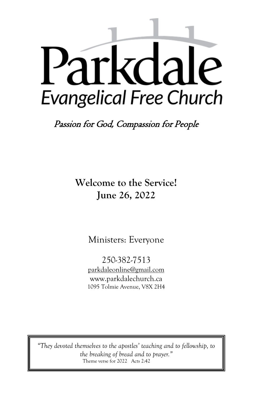# Parkdale **Evangelical Free Church**

Passion for God, Compassion for People

**Welcome to the Service! June 26, 2022**

Ministers: Everyone

250-382-7513 [parkdaleonline@gmail.com](mailto:parkdalechurch@shaw.ca) [www.parkdalechurch.ca](http://www.parkdalechurch.ca/) 1095 Tolmie Avenue, V8X 2H4

*"They devoted themselves to the apostles' teaching and to fellowship, to the breaking of bread and to prayer."* Theme verse for 2022 Acts 2:42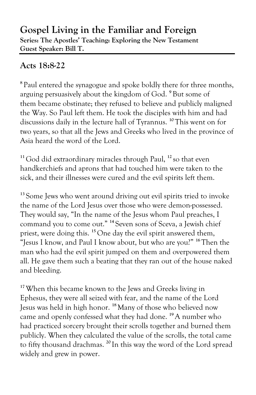## **Gospel Living in the Familiar and Foreign Series: The Apostles' Teaching: Exploring the New Testament Guest Speaker: Bill T.**

# **Acts 18:8-22**

**8** Paul entered the synagogue and spoke boldly there for three months, arguing persuasively about the kingdom of God. **<sup>9</sup>** But some of them became obstinate; they refused to believe and publicly maligned the Way. So Paul left them. He took the disciples with him and had discussions daily in the lecture hall of Tyrannus. **<sup>10</sup>** This went on for two years, so that all the Jews and Greeks who lived in the province of Asia heard the word of the Lord.

**<sup>11</sup>** God did extraordinary miracles through Paul, **<sup>12</sup>** so that even handkerchiefs and aprons that had touched him were taken to the sick, and their illnesses were cured and the evil spirits left them.

<sup>13</sup> Some Jews who went around driving out evil spirits tried to invoke the name of the Lord Jesus over those who were demon-possessed. They would say, "In the name of the Jesus whom Paul preaches, I command you to come out." **<sup>14</sup>** Seven sons of Sceva, a Jewish chief priest, were doing this. **<sup>15</sup>** One day the evil spirit answered them, "Jesus I know, and Paul I know about, but who are you?" **<sup>16</sup>**Then the man who had the evil spirit jumped on them and overpowered them all. He gave them such a beating that they ran out of the house naked and bleeding.

**<sup>17</sup>**When this became known to the Jews and Greeks living in Ephesus, they were all seized with fear, and the name of the Lord Jesus was held in high honor. **<sup>18</sup>** Many of those who believed now came and openly confessed what they had done. **<sup>19</sup>**A number who had practiced sorcery brought their scrolls together and burned them publicly. When they calculated the value of the scrolls, the total came to fifty thousand drachmas. **<sup>20</sup>** In this way the word of the Lord spread widely and grew in power.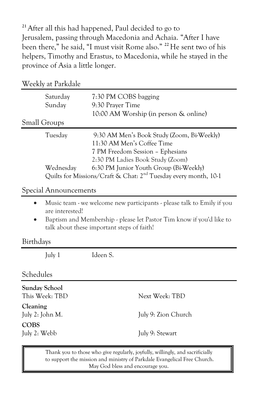**<sup>21</sup>**After all this had happened, Paul decided to go to Jerusalem, passing through Macedonia and Achaia. "After I have been there," he said, "I must visit Rome also." **<sup>22</sup>**He sent two of his helpers, Timothy and Erastus, to Macedonia, while he stayed in the province of Asia a little longer.

| Weekly at Parkdale  |                                                                                                                                                  |
|---------------------|--------------------------------------------------------------------------------------------------------------------------------------------------|
| Saturday<br>Sunday  | 7:30 PM COBS bagging<br>9:30 Prayer Time                                                                                                         |
|                     | 10:00 AM Worship (in person & online)                                                                                                            |
| <b>Small Groups</b> |                                                                                                                                                  |
| Tuesday             | 9:30 AM Men's Book Study (Zoom, Bi-Weekly)<br>11:30 AM Men's Coffee Time<br>7 PM Freedom Session - Ephesians<br>2:30 PM Ladies Book Study (Zoom) |
| Wednesday           | 6:30 PM Junior Youth Group (Bi-Weekly)<br>Quilts for Missions/Craft & Chat: 2 <sup>nd</sup> Tuesday every month, 10-1                            |

#### Special Announcements

- Music team we welcome new participants please talk to Emily if you are interested!
- Baptism and Membership please let Pastor Tim know if you'd like to talk about these important steps of faith!

#### Birthdays

July 1 Ideen S.

#### Schedules

| <b>Sunday School</b><br>This Week: TBD | Next Week: TBD      |
|----------------------------------------|---------------------|
| Cleaning<br>July 2: John M.            | July 9: Zion Church |
| <b>COBS</b><br>July 2: Webb            | July 9: Stewart     |

Thank you to those who give regularly, joyfully, willingly, and sacrificially to support the mission and ministry of Parkdale Evangelical Free Church. May God bless and encourage you.